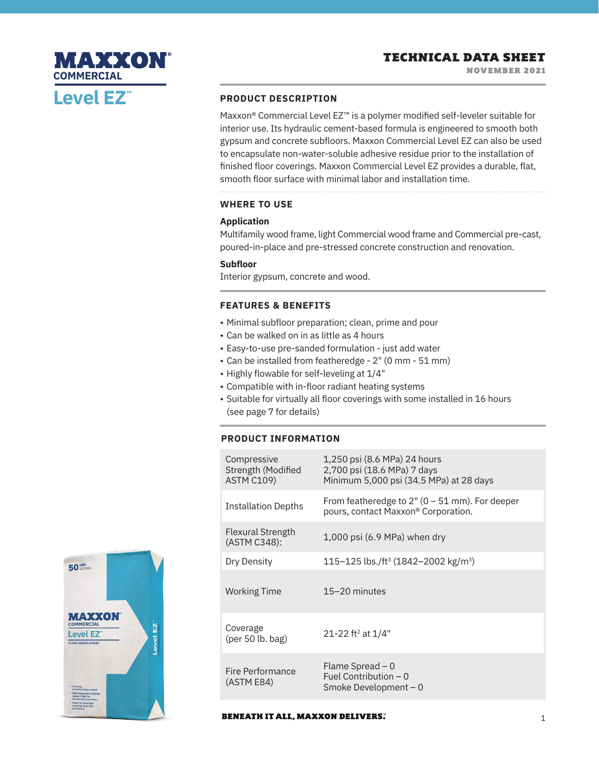# MAXXON **COMMERCIALLevel EZ™**

## **PRODUCT DESCRIPTION**

Maxxon® Commercial Level EZ™ is a polymer modified self-leveler suitable for interior use. Its hydraulic cement-based formula is engineered to smooth both gypsum and concrete subfloors. Maxxon Commercial Level EZ can also be used to encapsulate non-water-soluble adhesive residue prior to the installation of finished floor coverings. Maxxon Commercial Level EZ provides a durable, flat, smooth floor surface with minimal labor and installation time.

## **WHERE TO USE**

#### **Application**

Multifamily wood frame, light Commercial wood frame and Commercial pre-cast, poured-in-place and pre-stressed concrete construction and renovation.

#### **Subfloor**

Interior gypsum, concrete and wood.

#### **FEATURES & BENEFITS**

- Minimal subfloor preparation; clean, prime and pour
- Can be walked on in as little as 4 hours
- Easy-to-use pre-sanded formulation just add water
- Can be installed from featheredge 2" (0 mm 51 mm)
- Highly flowable for self-leveling at 1/4"
- Compatible with in-floor radiant heating systems
- Suitable for virtually all floor coverings with some installed in 16 hours (see page 7 for details)

#### **PRODUCT INFORMATION**

| Compressive<br>Strength (Modified<br><b>ASTM C109)</b> | 1,250 psi (8.6 MPa) 24 hours<br>2,700 psi (18.6 MPa) 7 days<br>Minimum 5,000 psi (34.5 MPa) at 28 days |
|--------------------------------------------------------|--------------------------------------------------------------------------------------------------------|
| <b>Installation Depths</b>                             | From featheredge to $2''$ (0 – 51 mm). For deeper<br>pours, contact Maxxon <sup>®</sup> Corporation.   |
| <b>Flexural Strength</b><br>(ASTM C348):               | $1,000$ psi (6.9 MPa) when dry                                                                         |
| Dry Density                                            | 115–125 lbs./ft <sup>3</sup> (1842–2002 kg/m <sup>3</sup> )                                            |
| <b>Working Time</b>                                    | $15 - 20$ minutes                                                                                      |
| Coverage<br>$(\text{per }50 \text{ lb. bag})$          | 21-22 ft <sup>2</sup> at $1/4"$                                                                        |
| Fire Performance<br>(ASTM E84)                         | Flame Spread $-0$<br>Fuel Contribution $-0$<br>Smoke Development $-0$                                  |



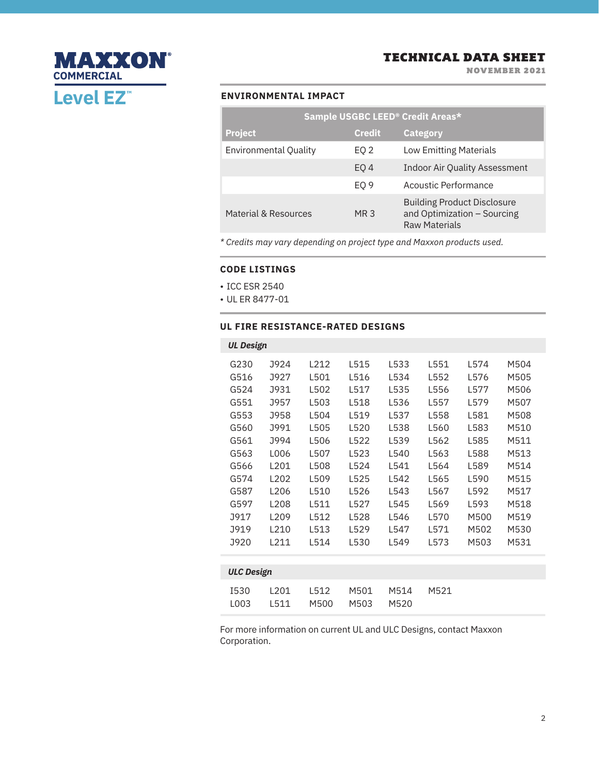NOVEMBER 2021

# **MAXXON® COMMERCIAL Level EZ™**

## **ENVIRONMENTAL IMPACT**

| <b>Sample USGBC LEED® Credit Areas*</b> |                 |                                                                                           |  |  |  |  |  |  |
|-----------------------------------------|-----------------|-------------------------------------------------------------------------------------------|--|--|--|--|--|--|
| <b>Project</b>                          | <b>Credit</b>   | <b>Category</b>                                                                           |  |  |  |  |  |  |
| <b>Environmental Quality</b>            | EQ 2            | <b>Low Emitting Materials</b>                                                             |  |  |  |  |  |  |
|                                         | EO <sub>4</sub> | <b>Indoor Air Quality Assessment</b>                                                      |  |  |  |  |  |  |
|                                         | EO <sub>9</sub> | Acoustic Performance                                                                      |  |  |  |  |  |  |
| Material & Resources                    | MR 3            | <b>Building Product Disclosure</b><br>and Optimization - Sourcing<br><b>Raw Materials</b> |  |  |  |  |  |  |

*\* Credits may vary depending on project type and Maxxon products used.*

#### **CODE LISTINGS**

- ICC ESR 2540
- UL ER 8477-01

#### **UL FIRE RESISTANCE-RATED DESIGNS**

| <b>UL Design</b>                                                                  |                             |                                              |                      |                      |                      |                      |                      |                      |  |  |
|-----------------------------------------------------------------------------------|-----------------------------|----------------------------------------------|----------------------|----------------------|----------------------|----------------------|----------------------|----------------------|--|--|
|                                                                                   | G230<br>G516<br>G524        | J924<br>J927<br>J931                         | L212<br>L501<br>L502 | L515<br>L516<br>L517 | L533<br>L534<br>L535 | L551<br>L552<br>L556 | L574<br>L576<br>L577 | M504<br>M505<br>M506 |  |  |
|                                                                                   | G551<br>G553<br>G560        | J957<br>J958<br>J991                         | L503<br>L504<br>L505 | L518<br>L519<br>L520 | L536<br>L537<br>L538 | L557<br>L558<br>L560 | L579<br>L581<br>L583 | M507<br>M508<br>M510 |  |  |
|                                                                                   | G561<br>G563<br>G566        | J994<br>L006<br>L201                         | L506<br>L507<br>L508 | L522<br>L523<br>L524 | L539<br>L540<br>L541 | L562<br>L563<br>L564 | L585<br>L588<br>L589 | M511<br>M513<br>M514 |  |  |
|                                                                                   | G574<br>G587                | L202<br>L206                                 | L509<br>L510         | L525<br>L526         | L542<br>L543         | L565<br>L567         | L590<br>L592         | M515<br>M517         |  |  |
|                                                                                   | G597<br><b>J917</b><br>J919 | L <sub>208</sub><br>L <sub>209</sub><br>L210 | L511<br>L512<br>L513 | L527<br>L528<br>L529 | L545<br>L546<br>L547 | L569<br>L570<br>L571 | L593<br>M500<br>M502 | M518<br>M519<br>M530 |  |  |
| L211<br>L530<br>M531<br>J920<br>L514<br>L549<br>L573<br>M503<br><b>ULC Design</b> |                             |                                              |                      |                      |                      |                      |                      |                      |  |  |
|                                                                                   | <b>I530</b><br>L003         | L201<br>L511                                 | L512<br>M500         | M501<br>M503         | M514<br>M520         | M521                 |                      |                      |  |  |

For more information on current UL and ULC Designs, contact Maxxon Corporation.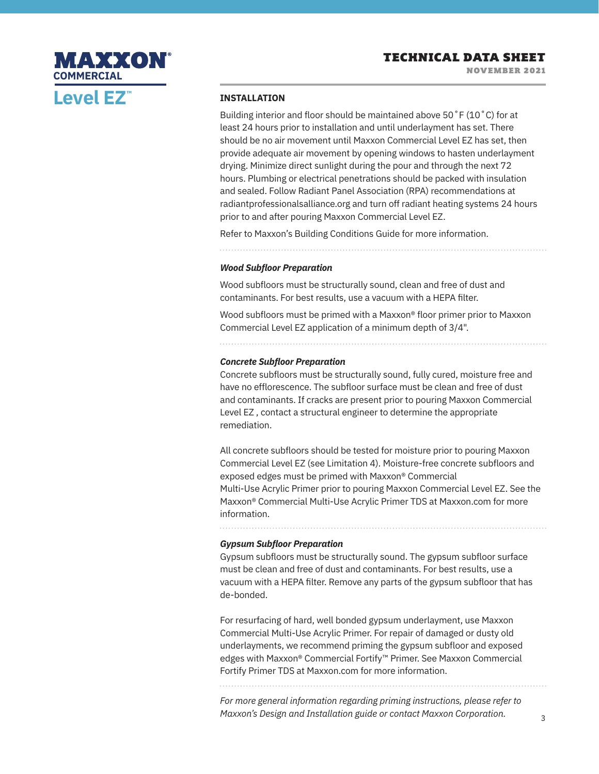

#### **INSTALLATION**

Building interior and floor should be maintained above 50˚F (10˚C) for at least 24 hours prior to installation and until underlayment has set. There should be no air movement until Maxxon Commercial Level EZ has set, then provide adequate air movement by opening windows to hasten underlayment drying. Minimize direct sunlight during the pour and through the next 72 hours. Plumbing or electrical penetrations should be packed with insulation and sealed. Follow Radiant Panel Association (RPA) recommendations at radiantprofessionalsalliance.org and turn off radiant heating systems 24 hours prior to and after pouring Maxxon Commercial Level EZ.

Refer to Maxxon's Building Conditions Guide for more information.

#### *Wood Subfloor Preparation*

Wood subfloors must be structurally sound, clean and free of dust and contaminants. For best results, use a vacuum with a HEPA filter.

Wood subfloors must be primed with a Maxxon® floor primer prior to Maxxon Commercial Level EZ application of a minimum depth of 3/4".

#### *Concrete Subfloor Preparation*

Concrete subfloors must be structurally sound, fully cured, moisture free and have no efflorescence. The subfloor surface must be clean and free of dust and contaminants. If cracks are present prior to pouring Maxxon Commercial Level EZ , contact a structural engineer to determine the appropriate remediation.

All concrete subfloors should be tested for moisture prior to pouring Maxxon Commercial Level EZ (see Limitation 4). Moisture-free concrete subfloors and exposed edges must be primed with Maxxon® Commercial Multi-Use Acrylic Primer prior to pouring Maxxon Commercial Level EZ. See the Maxxon® Commercial Multi-Use Acrylic Primer TDS at Maxxon.com for more information.

. . . . . . . . . . . . .

#### *Gypsum Subfloor Preparation*

Gypsum subfloors must be structurally sound. The gypsum subfloor surface must be clean and free of dust and contaminants. For best results, use a vacuum with a HEPA filter. Remove any parts of the gypsum subfloor that has de-bonded.

For resurfacing of hard, well bonded gypsum underlayment, use Maxxon Commercial Multi-Use Acrylic Primer. For repair of damaged or dusty old underlayments, we recommend priming the gypsum subfloor and exposed edges with Maxxon® Commercial Fortify™ Primer. See Maxxon Commercial Fortify Primer TDS at Maxxon.com for more information.

*For more general information regarding priming instructions, please refer to Maxxon's Design and Installation guide or contact Maxxon Corporation.*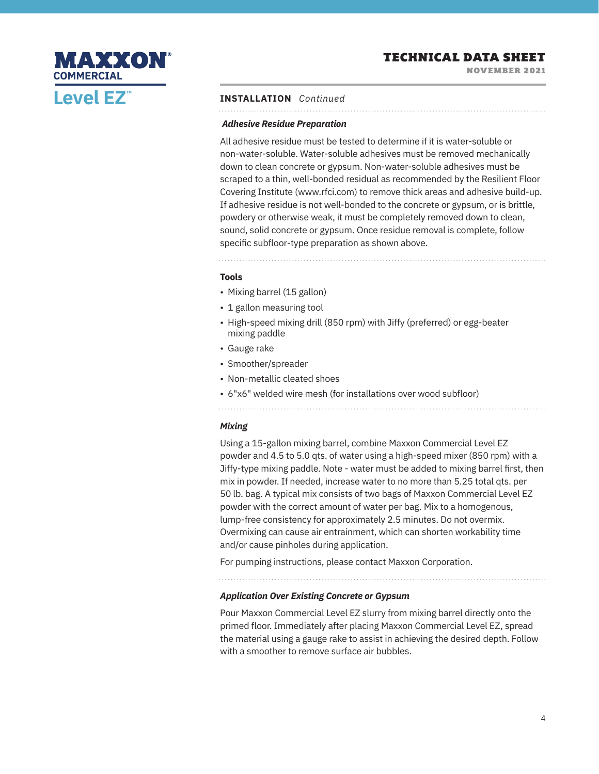NOVEMBER 2021



#### **INSTALLATION** *Continued*

#### *Adhesive Residue Preparation*

All adhesive residue must be tested to determine if it is water-soluble or non-water-soluble. Water-soluble adhesives must be removed mechanically down to clean concrete or gypsum. Non-water-soluble adhesives must be scraped to a thin, well-bonded residual as recommended by the Resilient Floor Covering Institute (www.rfci.com) to remove thick areas and adhesive build-up. If adhesive residue is not well-bonded to the concrete or gypsum, or is brittle, powdery or otherwise weak, it must be completely removed down to clean, sound, solid concrete or gypsum. Once residue removal is complete, follow specific subfloor-type preparation as shown above.

#### **Tools**

- Mixing barrel (15 gallon)
- 1 gallon measuring tool
- High-speed mixing drill (850 rpm) with Jiffy (preferred) or egg-beater mixing paddle
- Gauge rake
- Smoother/spreader
- Non-metallic cleated shoes
- 6"x6" welded wire mesh (for installations over wood subfloor)

#### *Mixing*

Using a 15-gallon mixing barrel, combine Maxxon Commercial Level EZ powder and 4.5 to 5.0 qts. of water using a high-speed mixer (850 rpm) with a Jiffy-type mixing paddle. Note - water must be added to mixing barrel first, then mix in powder. If needed, increase water to no more than 5.25 total qts. per 50 lb. bag. A typical mix consists of two bags of Maxxon Commercial Level EZ powder with the correct amount of water per bag. Mix to a homogenous, lump-free consistency for approximately 2.5 minutes. Do not overmix. Overmixing can cause air entrainment, which can shorten workability time and/or cause pinholes during application.

For pumping instructions, please contact Maxxon Corporation.

#### *Application Over Existing Concrete or Gypsum*

Pour Maxxon Commercial Level EZ slurry from mixing barrel directly onto the primed floor. Immediately after placing Maxxon Commercial Level EZ, spread the material using a gauge rake to assist in achieving the desired depth. Follow with a smoother to remove surface air bubbles.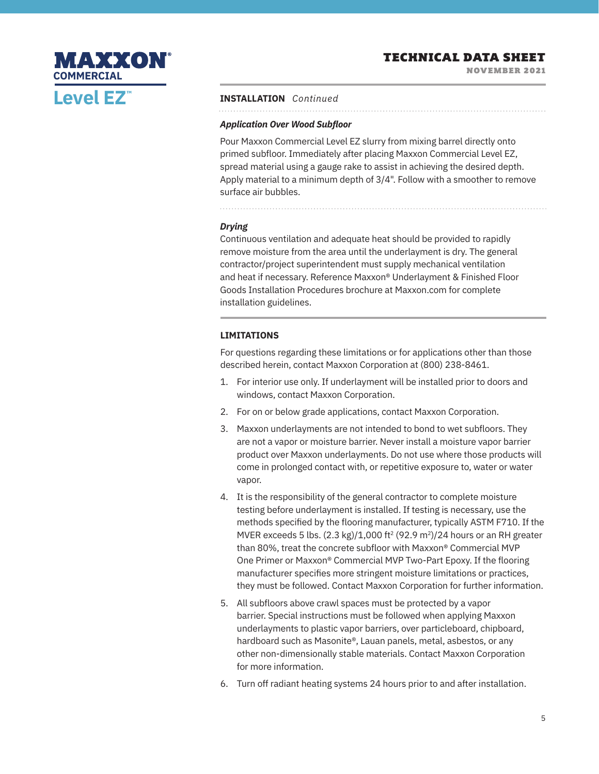NOVEMBER 2021



#### **INSTALLATION** *Continued*

#### *Application Over Wood Subfloor*

Pour Maxxon Commercial Level EZ slurry from mixing barrel directly onto primed subfloor. Immediately after placing Maxxon Commercial Level EZ, spread material using a gauge rake to assist in achieving the desired depth. Apply material to a minimum depth of 3/4". Follow with a smoother to remove surface air bubbles.

#### *Drying*

Continuous ventilation and adequate heat should be provided to rapidly remove moisture from the area until the underlayment is dry. The general contractor/project superintendent must supply mechanical ventilation and heat if necessary. Reference Maxxon® Underlayment & Finished Floor Goods Installation Procedures brochure at Maxxon.com for complete installation guidelines.

#### **LIMITATIONS**

For questions regarding these limitations or for applications other than those described herein, contact Maxxon Corporation at (800) 238-8461.

- 1. For interior use only. If underlayment will be installed prior to doors and windows, contact Maxxon Corporation.
- 2. For on or below grade applications, contact Maxxon Corporation.
- 3. Maxxon underlayments are not intended to bond to wet subfloors. They are not a vapor or moisture barrier. Never install a moisture vapor barrier product over Maxxon underlayments. Do not use where those products will come in prolonged contact with, or repetitive exposure to, water or water vapor.
- 4. It is the responsibility of the general contractor to complete moisture testing before underlayment is installed. If testing is necessary, use the methods specified by the flooring manufacturer, typically ASTM F710. If the MVER exceeds 5 lbs.  $(2.3 \text{ kg})/1,000 \text{ ft}^2 (92.9 \text{ m}^2)/24$  hours or an RH greater than 80%, treat the concrete subfloor with Maxxon® Commercial MVP One Primer or Maxxon® Commercial MVP Two-Part Epoxy. If the flooring manufacturer specifies more stringent moisture limitations or practices, they must be followed. Contact Maxxon Corporation for further information.
- 5. All subfloors above crawl spaces must be protected by a vapor barrier. Special instructions must be followed when applying Maxxon underlayments to plastic vapor barriers, over particleboard, chipboard, hardboard such as Masonite®, Lauan panels, metal, asbestos, or any other non-dimensionally stable materials. Contact Maxxon Corporation for more information.
- 6. Turn off radiant heating systems 24 hours prior to and after installation.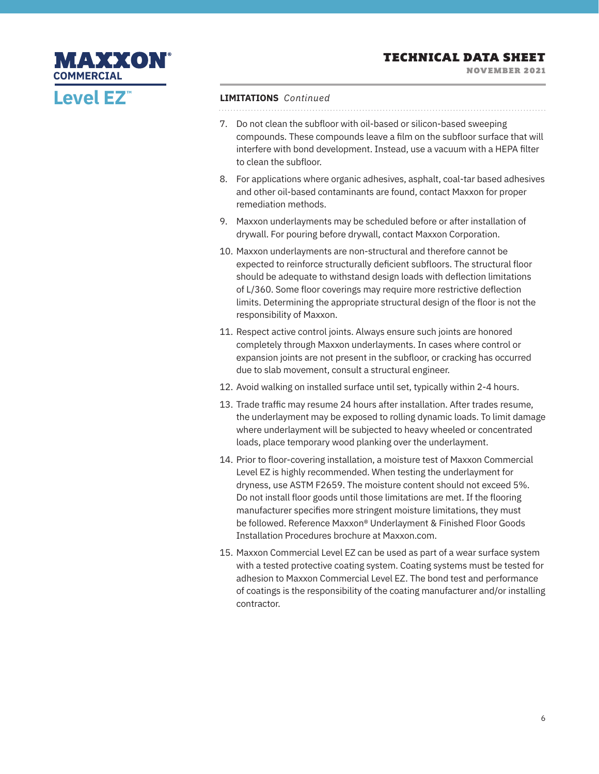NOVEMBER 2021

# MAXXON **COMMERCIALLevel EZ™**

## **LIMITATIONS** *Continued*

- 7. Do not clean the subfloor with oil-based or silicon-based sweeping compounds. These compounds leave a film on the subfloor surface that will interfere with bond development. Instead, use a vacuum with a HEPA filter to clean the subfloor.
- 8. For applications where organic adhesives, asphalt, coal-tar based adhesives and other oil-based contaminants are found, contact Maxxon for proper remediation methods.
- 9. Maxxon underlayments may be scheduled before or after installation of drywall. For pouring before drywall, contact Maxxon Corporation.
- 10. Maxxon underlayments are non-structural and therefore cannot be expected to reinforce structurally deficient subfloors. The structural floor should be adequate to withstand design loads with deflection limitations of L/360. Some floor coverings may require more restrictive deflection limits. Determining the appropriate structural design of the floor is not the responsibility of Maxxon.
- 11. Respect active control joints. Always ensure such joints are honored completely through Maxxon underlayments. In cases where control or expansion joints are not present in the subfloor, or cracking has occurred due to slab movement, consult a structural engineer.
- 12. Avoid walking on installed surface until set, typically within 2-4 hours.
- 13. Trade traffic may resume 24 hours after installation. After trades resume, the underlayment may be exposed to rolling dynamic loads. To limit damage where underlayment will be subjected to heavy wheeled or concentrated loads, place temporary wood planking over the underlayment.
- 14. Prior to floor-covering installation, a moisture test of Maxxon Commercial Level EZ is highly recommended. When testing the underlayment for dryness, use ASTM F2659. The moisture content should not exceed 5%. Do not install floor goods until those limitations are met. If the flooring manufacturer specifies more stringent moisture limitations, they must be followed. Reference Maxxon® Underlayment & Finished Floor Goods Installation Procedures brochure at Maxxon.com.
- 15. Maxxon Commercial Level EZ can be used as part of a wear surface system with a tested protective coating system. Coating systems must be tested for adhesion to Maxxon Commercial Level EZ. The bond test and performance of coatings is the responsibility of the coating manufacturer and/or installing contractor.